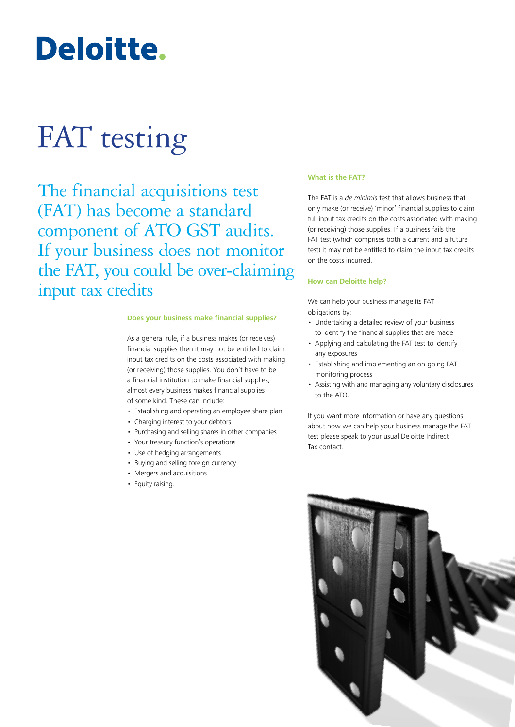## Deloitte.

# FAT testing

The financial acquisitions test (FAT) has become a standard component of ATO GST audits. If your business does not monitor the FAT, you could be over-claiming input tax credits

## **Does your business make financial supplies?**

As a general rule, if a business makes (or receives) financial supplies then it may not be entitled to claim input tax credits on the costs associated with making (or receiving) those supplies. You don't have to be a financial institution to make financial supplies; almost every business makes financial supplies of some kind. These can include:

- Establishing and operating an employee share plan
- Charging interest to your debtors
- Purchasing and selling shares in other companies
- Your treasury function's operations
- Use of hedging arrangements
- Buying and selling foreign currency
- Mergers and acquisitions
- Equity raising.

## **What is the FAT?**

The FAT is a *de minimis* test that allows business that only make (or receive) 'minor' financial supplies to claim full input tax credits on the costs associated with making (or receiving) those supplies. If a business fails the FAT test (which comprises both a current and a future test) it may not be entitled to claim the input tax credits on the costs incurred.

### **How can Deloitte help?**

We can help your business manage its FAT obligations by:

- Undertaking a detailed review of your business to identify the financial supplies that are made
- Applying and calculating the FAT test to identify any exposures
- Establishing and implementing an on-going FAT monitoring process
- Assisting with and managing any voluntary disclosures to the ATO.

If you want more information or have any questions about how we can help your business manage the FAT test please speak to your usual Deloitte Indirect Tax contact.